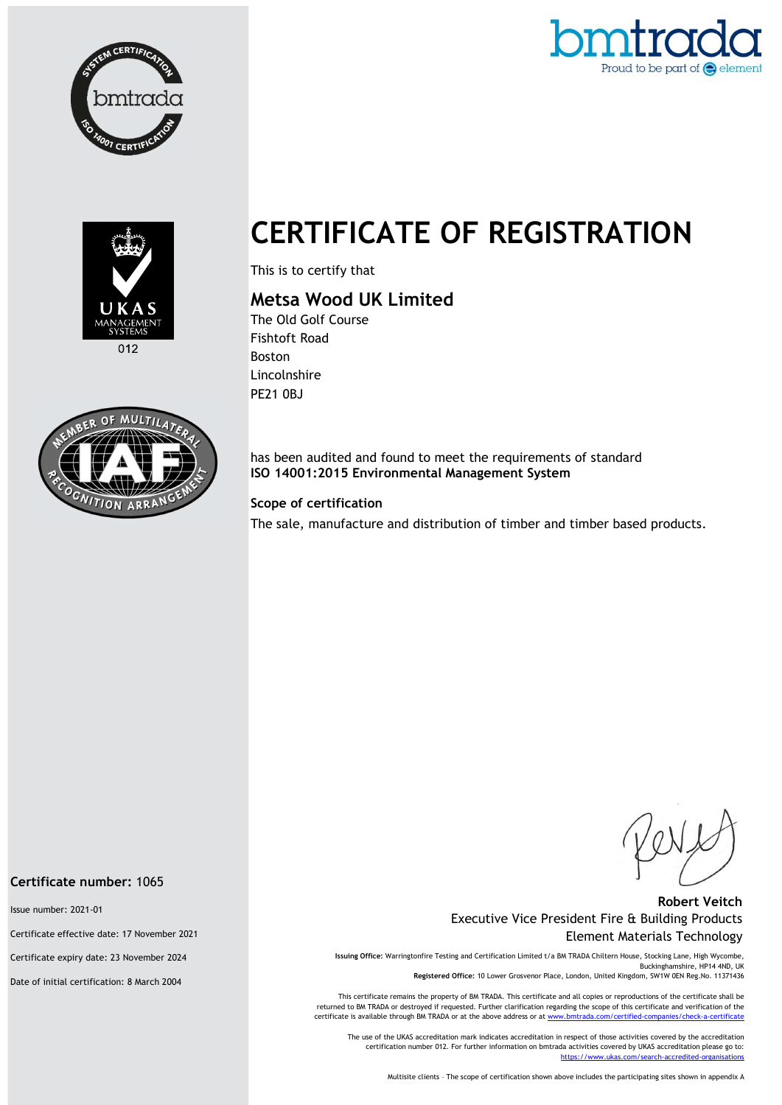





 $012$ 



# CERTIFICATE OF REGISTRATION

This is to certify that

## Metsa Wood UK Limited

The Old Golf Course Fishtoft Road Boston Lincolnshire PE21 0BJ

has been audited and found to meet the requirements of standard ISO 14001:2015 Environmental Management System

#### Scope of certification

The sale, manufacture and distribution of timber and timber based products.

#### Robert Veitch Executive Vice President Fire & Building Products Element Materials Technology

Issuing Office: Warringtonfire Testing and Certification Limited t/a BM TRADA Chiltern House, Stocking Lane, High Wycombe, Buckinghamshire, HP14 4ND, UK Registered Office: 10 Lower Grosvenor Place, London, United Kingdom, SW1W 0EN Reg.No. 11371436

This certificate remains the property of BM TRADA. This certificate and all copies or reproductions of the certificate shall be returned to BM TRADA or destroyed if requested. Further clarification regarding the scope of this certificate and verification of the certificate is available through BM TRADA or at the above address or at www.

The use of the UKAS accreditation mark indicates accreditation in respect of those activities covered by the accreditation certification number 012. For further information on bmtrada activities covered by UKAS accreditation please go to: https://www.ukas.com/search-accredited-organis

Multisite clients – The scope of certification shown above includes the participating sites shown in appendix A

#### Certificate number: 1065

Issue number: 2021-01

Certificate effective date: 17 November 2021

Certificate expiry date: 23 November 2024

Date of initial certification: 8 March 2004